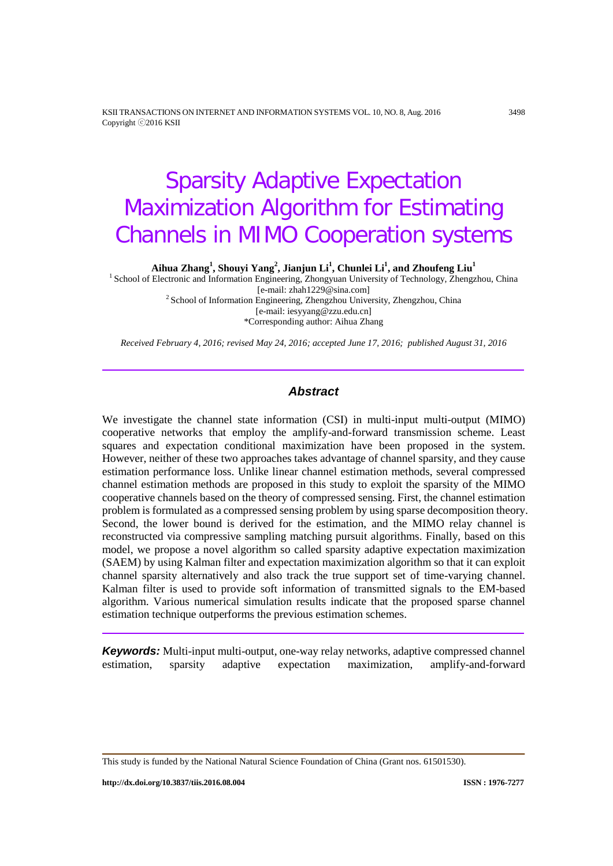KSII TRANSACTIONS ON INTERNET AND INFORMATION SYSTEMS VOL. 10, NO. 8, Aug. 2016 3498 Copyright ⓒ2016 KSII

# Sparsity Adaptive Expectation Maximization Algorithm for Estimating Channels in MIMO Cooperation systems

**Aihua Zhang<sup>1</sup> , Shouyi Yang<sup>2</sup> , Jianjun Li1 , Chunlei Li1 , and Zhoufeng Liu1**

<sup>1</sup> School of Electronic and Information Engineering, Zhongyuan University of Technology, Zhengzhou, China [e-mail: zhah1229@sina.com]  $2$ School of Information Engineering, Zhengzhou University, Zhengzhou, China [e-mail: iesyyang@zzu.edu.cn]

\*Corresponding author: Aihua Zhang

*Received February 4, 2016; revised May 24, 2016; accepted June 17, 2016; published August 31, 2016*

# *Abstract*

We investigate the channel state information (CSI) in multi-input multi-output (MIMO) cooperative networks that employ the amplify-and-forward transmission scheme. Least squares and expectation conditional maximization have been proposed in the system. However, neither of these two approaches takes advantage of channel sparsity, and they cause estimation performance loss. Unlike linear channel estimation methods, several compressed channel estimation methods are proposed in this study to exploit the sparsity of the MIMO cooperative channels based on the theory of compressed sensing. First, the channel estimation problem is formulated as a compressed sensing problem by using sparse decomposition theory. Second, the lower bound is derived for the estimation, and the MIMO relay channel is reconstructed via compressive sampling matching pursuit algorithms. Finally, based on this model, we propose a novel algorithm so called sparsity adaptive expectation maximization (SAEM) by using Kalman filter and expectation maximization algorithm so that it can exploit channel sparsity alternatively and also track the true support set of time-varying channel. Kalman filter is used to provide soft information of transmitted signals to the EM-based algorithm. Various numerical simulation results indicate that the proposed sparse channel estimation technique outperforms the previous estimation schemes.

*Keywords:* Multi-input multi-output, one-way relay networks, adaptive compressed channel estimation, sparsity adaptive expectation maximization, amplify-and-forward

This study is funded by the National Natural Science Foundation of China (Grant nos. 61501530).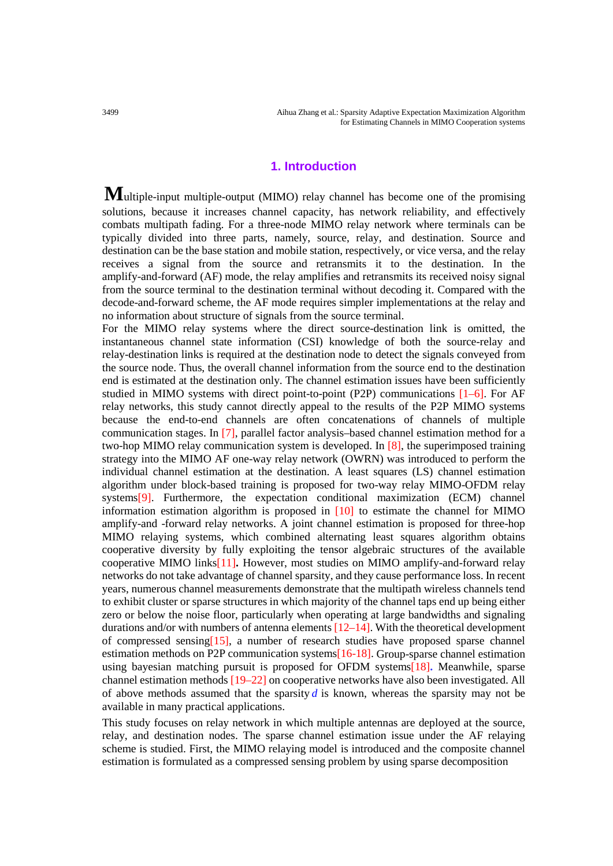# **1. Introduction**

**M**ultiple-input multiple-output (MIMO) relay channel has become one of the promising solutions, because it increases channel capacity, has network reliability, and effectively combats multipath fading. For a three-node MIMO relay network where terminals can be typically divided into three parts, namely, source, relay, and destination. Source and destination can be the base station and mobile station, respectively, or vice versa, and the relay receives a signal from the source and retransmits it to the destination. In the amplify-and-forward (AF) mode, the relay amplifies and retransmits its received noisy signal from the source terminal to the destination terminal without decoding it. Compared with the decode-and-forward scheme, the AF mode requires simpler implementations at the relay and no information about structure of signals from the source terminal.

For the MIMO relay systems where the direct source-destination link is omitted, the instantaneous channel state information (CSI) knowledge of both the source-relay and relay-destination links is required at the destination node to detect the signals conveyed from the source node. Thus, the overall channel information from the source end to the destination end is estimated at the destination only. The channel estimation issues have been sufficiently studied in MIMO systems with direct point-to-point (P2P) communications  $[1-6]$ . For AF relay networks, this study cannot directly appeal to the results of the P2P MIMO systems because the end-to-end channels are often concatenations of channels of multiple communication stages. In [7], parallel factor analysis–based channel estimation method for a two-hop MIMO relay communication system is developed. In [8], the superimposed training strategy into the MIMO AF one-way relay network (OWRN) was introduced to perform the individual channel estimation at the destination. A least squares (LS) channel estimation algorithm under block-based training is proposed for two-way relay MIMO-OFDM relay systems<sup>[9]</sup>. Furthermore, the expectation conditional maximization (ECM) channel information estimation algorithm is proposed in [10] to estimate the channel for MIMO amplify-and -forward relay networks. A joint channel estimation is proposed for three-hop MIMO relaying systems, which combined alternating least squares algorithm obtains cooperative diversity by fully exploiting the tensor algebraic structures of the available cooperative MIMO links[11]**.** However, most studies on MIMO amplify-and-forward relay networks do not take advantage of channel sparsity, and they cause performance loss. In recent years, numerous channel measurements demonstrate that the multipath wireless channels tend to exhibit cluster or sparse structures in which majority of the channel taps end up being either zero or below the noise floor, particularly when operating at large bandwidths and signaling durations and/or with numbers of antenna elements  $[12-14]$ . With the theoretical development of compressed sensing[15], a number of research studies have proposed sparse channel estimation methods on P2P communication systems<sup>[16-18]</sup>. Group-sparse channel estimation using bayesian matching pursuit is proposed for OFDM systems[18]**.** Meanwhile, sparse channel estimation methods [19–22] on cooperative networks have also been investigated. All of above methods assumed that the sparsity  $d$  is known, whereas the sparsity may not be available in many practical applications.

This study focuses on relay network in which multiple antennas are deployed at the source, relay, and destination nodes. The sparse channel estimation issue under the AF relaying scheme is studied. First, the MIMO relaying model is introduced and the composite channel estimation is formulated as a compressed sensing problem by using sparse decomposition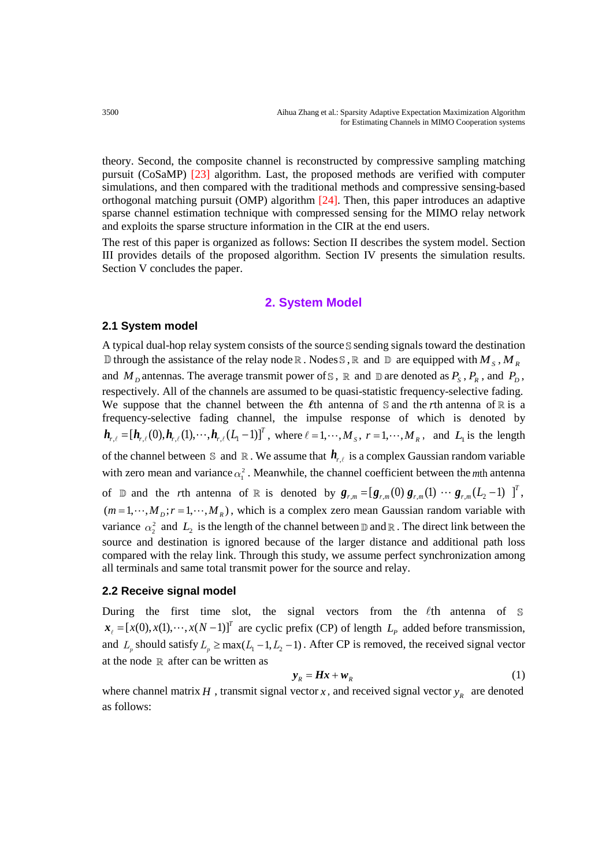theory. Second, the composite channel is reconstructed by compressive sampling matching pursuit (CoSaMP) [23] algorithm. Last, the proposed methods are verified with computer simulations, and then compared with the traditional methods and compressive sensing-based orthogonal matching pursuit (OMP) algorithm [24]. Then, this paper introduces an adaptive sparse channel estimation technique with compressed sensing for the MIMO relay network and exploits the sparse structure information in the CIR at the end users.

The rest of this paper is organized as follows: Section II describes the system model. Section III provides details of the proposed algorithm. Section IV presents the simulation results. Section V concludes the paper.

## **2. System Model**

#### **2.1 System model**

A typical dual-hop relay system consists of the source  $S$  sending signals toward the destination  $\mathbb D$  through the assistance of the relay node  $\mathbb R$ . Nodes  $\mathbb S$ ,  $\mathbb R$  and  $\mathbb D$  are equipped with  $M_S$ ,  $M_R$ and  $M_D$  antennas. The average transmit power of S, R and D are denoted as  $P_S$ ,  $P_R$ , and  $P_D$ , respectively. All of the channels are assumed to be quasi-statistic frequency-selective fading. We suppose that the channel between the *l*<sup>th</sup> antenna of  $\mathbb S$  and the *r*<sup>th</sup> antenna of  $\mathbb R$  is a frequency-selective fading channel, the impulse response of which is denoted by  $h_{r,\ell} = [h_{r,\ell}(0), h_{r,\ell}(1), \cdots, h_{r,\ell}(L_1-1)]^T$ , where  $\ell = 1, \cdots, M_s$ ,  $r = 1, \cdots, M_R$ , and  $L_1$  is the length of the channel between  $\mathbb S$  and  $\mathbb R$ . We assume that  $h_{r,\ell}$  is a complex Gaussian random variable with zero mean and variance  $\alpha_i^2$ . Meanwhile, the channel coefficient between the *m*th antenna of  $\mathbb D$  and the *r*th antenna of  $\mathbb R$  is denoted by  $g_{r,m} = [g_{r,m}(0) g_{r,m}(1) \cdots g_{r,m}(L_2-1)]^T$ ,  $(m = 1, \dots, M_p; r = 1, \dots, M_R)$ , which is a complex zero mean Gaussian random variable with variance  $\alpha_2^2$  and  $L_2$  is the length of the channel between  $\mathbb D$  and  $\mathbb R$ . The direct link between the source and destination is ignored because of the larger distance and additional path loss compared with the relay link. Through this study, we assume perfect synchronization among all terminals and same total transmit power for the source and relay.

### **2.2 Receive signal model**

During the first time slot, the signal vectors from the  $\ell$ th antenna of  $\mathbb S$  $\mathbf{x}_{i} = [x(0), x(1), \dots, x(N-1)]^{T}$  are cyclic prefix (CP) of length  $L_{p}$  added before transmission, and  $L_p$  should satisfy  $L_p \ge \max(L_1 - 1, L_2 - 1)$ . After CP is removed, the received signal vector at the node  $\mathbb R$  after can be written as

$$
\mathbf{y}_R = \boldsymbol{H}\boldsymbol{x} + \boldsymbol{w}_R \tag{1}
$$

where channel matrix *H*, transmit signal vector *x*, and received signal vector  $y<sub>R</sub>$  are denoted as follows: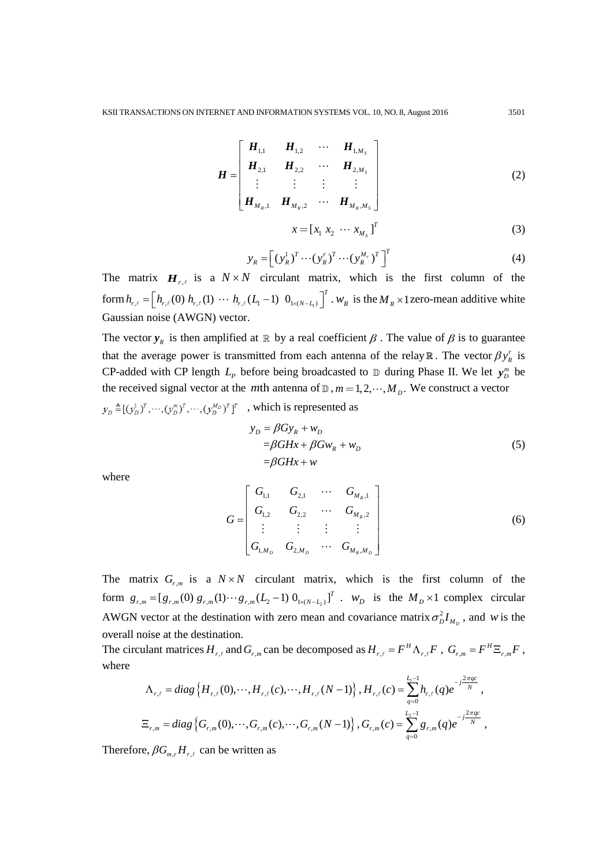$$
\boldsymbol{H} = \begin{bmatrix} \boldsymbol{H}_{1,1} & \boldsymbol{H}_{1,2} & \cdots & \boldsymbol{H}_{1,M_s} \\ \boldsymbol{H}_{2,1} & \boldsymbol{H}_{2,2} & \cdots & \boldsymbol{H}_{2,M_s} \\ \vdots & \vdots & \vdots & \vdots \\ \boldsymbol{H}_{M_R,1} & \boldsymbol{H}_{M_R,2} & \cdots & \boldsymbol{H}_{M_R,M_s} \end{bmatrix}
$$
(2)

$$
x = \begin{bmatrix} x_1 & x_2 & \cdots & x_{M_s} \end{bmatrix}^T
$$
 (3)

$$
y_R = \left[ (y_R^1)^T \cdots (y_R^r)^T \cdots (y_R^{M_r})^T \right]^T
$$
 (4)

The matrix  $H_{r,\ell}$  is a  $N \times N$  circulant matrix, which is the first column of the form  $h_{r,\ell} = \left[ h_{r,\ell}(0) h_{r,\ell}(1) \cdots h_{r,\ell}(L_1-1) 0_{1 \times (N-L_1)} \right]^T$ .  $W_R$  is the  $M_R \times 1$  zero-mean additive white Gaussian noise (AWGN) vector.

The vector  $y_R$  is then amplified at  $\mathbb R$  by a real coefficient  $\beta$ . The value of  $\beta$  is to guarantee that the average power is transmitted from each antenna of the relay  $\mathbb{R}$ . The vector  $\beta y_R^r$  is CP-added with CP length  $L_p$  before being broadcasted to  $\mathbb D$  during Phase II. We let  $y_D^m$  be the received signal vector at the *m*th antenna of  $\mathbb{D}$ ,  $m = 1, 2, \cdots, M_p$ . We construct a vector

 $y_D \triangleq [ (y_D^1)^T, \cdots, (y_D^m)^T, \cdots, (y_D^M)^T ]^T$ , which is represented as

$$
y_D = \beta G y_R + w_D
$$
  
=  $\beta G H x + \beta G w_R + w_D$   
=  $\beta G H x + w$  (5)

where

$$
G = \begin{bmatrix} G_{1,1} & G_{2,1} & \cdots & G_{M_R,1} \\ G_{1,2} & G_{2,2} & \cdots & G_{M_R,2} \\ \vdots & \vdots & \vdots & \vdots \\ G_{1,M_D} & G_{2,M_D} & \cdots & G_{M_R,M_D} \end{bmatrix}
$$
(6)

The matrix  $G_{r,m}$  is a  $N \times N$  circulant matrix, which is the first column of the form  $g_{r,m} = [g_{r,m}(0) g_{r,m}(1) \cdots g_{r,m}(L_2-1) 0_{1 \times (N-L_2)}]^T$ .  $w_D$  is the  $M_D \times 1$  complex circular AWGN vector at the destination with zero mean and covariance matrix  $\sigma_D^2 I_{M_D}$ , and *w* is the overall noise at the destination.

The circulant matrices  $H_{r,\ell}$  and  $G_{r,m}$  can be decomposed as  $H_{r,\ell} = F^H \Lambda_{r,\ell} F$ ,  $G_{r,m} = F^H \Xi_{r,m} F$ , where

$$
\Lambda_{r,\ell} = diag\left\{H_{r,\ell}(0),\cdots,H_{r,\ell}(c),\cdots,H_{r,\ell}(N-1)\right\}, H_{r,\ell}(c) = \sum_{q=0}^{L_1-1} h_{r,\ell}(q)e^{-j\frac{2\pi q c}{N}},
$$
  

$$
\Xi_{r,m} = diag\left\{G_{r,m}(0),\cdots,G_{r,m}(c),\cdots,G_{r,m}(N-1)\right\}, G_{r,m}(c) = \sum_{q=0}^{L_2-1} g_{r,m}(q)e^{-j\frac{2\pi q c}{N}},
$$

Therefore,  $\beta G_{m,r} H_{r,\ell}$  can be written as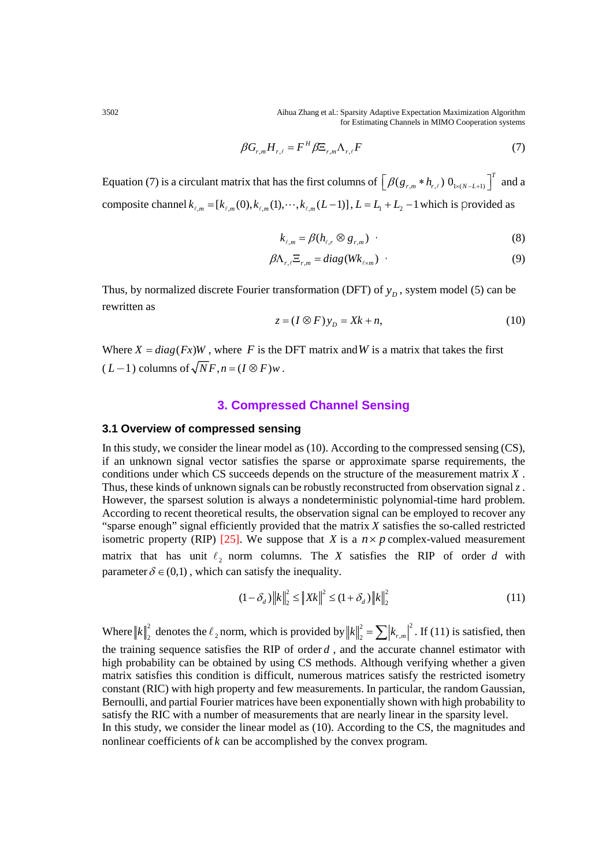3502 Aihua Zhang et al.: Sparsity Adaptive Expectation Maximization Algorithm for Estimating Channels in MIMO Cooperation systems

$$
\beta G_{r,m} H_{r,\ell} = F^H \beta \Xi_{r,m} \Lambda_{r,\ell} F \tag{7}
$$

Equation (7) is a circulant matrix that has the first columns of  $\left[\beta(g_{r,m} * h_{r,\ell}) 0_{1 \times (N-L+1)}\right]^T$  and a composite channel  $k_{\ell,m} = [k_{\ell,m}(0), k_{\ell,m}(1), \cdots, k_{\ell,m}(L-1)]$ ,  $L = L_1 + L_2 - 1$  which is provided as

$$
k_{\ell,m} = \beta(h_{\ell,r} \otimes g_{r,m}) \tag{8}
$$

$$
\beta \Lambda_{r,\ell} \Xi_{r,m} = diag(Wk_{\ell \times m}) \tag{9}
$$

Thus, by normalized discrete Fourier transformation (DFT) of  $y<sub>p</sub>$ , system model (5) can be rewritten as

$$
z = (I \otimes F)y_D = Xk + n,\tag{10}
$$

Where  $X = diag(Fx)W$ , where *F* is the DFT matrix and *W* is a matrix that takes the first  $(L-1)$  columns of  $\sqrt{N}F, n = (I \otimes F)w$ .

# **3. Compressed Channel Sensing**

#### **3.1 Overview of compressed sensing**

In this study, we consider the linear model as (10). According to the compressed sensing (CS), if an unknown signal vector satisfies the sparse or approximate sparse requirements, the conditions under which CS succeeds depends on the structure of the measurement matrix *X* . Thus, these kinds of unknown signals can be robustly reconstructed from observation signal *z* . However, the sparsest solution is always a nondeterministic polynomial-time hard problem. According to recent theoretical results, the observation signal can be employed to recover any "sparse enough" signal efficiently provided that the matrix *X* satisfies the so-called restricted isometric property (RIP) [25]. We suppose that *X* is a  $n \times p$  complex-valued measurement matrix that has unit  $\ell_2$  norm columns. The *X* satisfies the RIP of order *d* with parameter  $\delta \in (0,1)$ , which can satisfy the inequality.

$$
(1 - \delta_d) \|k\|_2^2 \le \|Xk\|^2 \le (1 + \delta_d) \|k\|_2^2
$$
\n(11)

Where  $||k||_2^2$  denotes the  $\ell_2$  norm, which is provided by  $||k||_2^2 = \sum |k_{r,m}|^2$ . If (11) is satisfied, then the training sequence satisfies the RIP of order *d* , and the accurate channel estimator with high probability can be obtained by using CS methods. Although verifying whether a given matrix satisfies this condition is difficult, numerous matrices satisfy the restricted isometry constant (RIC) with high property and few measurements. In particular, the random Gaussian, Bernoulli, and partial Fourier matrices have been exponentially shown with high probability to satisfy the RIC with a number of measurements that are nearly linear in the sparsity level. In this study, we consider the linear model as (10). According to the CS, the magnitudes and nonlinear coefficients of *k* can be accomplished by the convex program.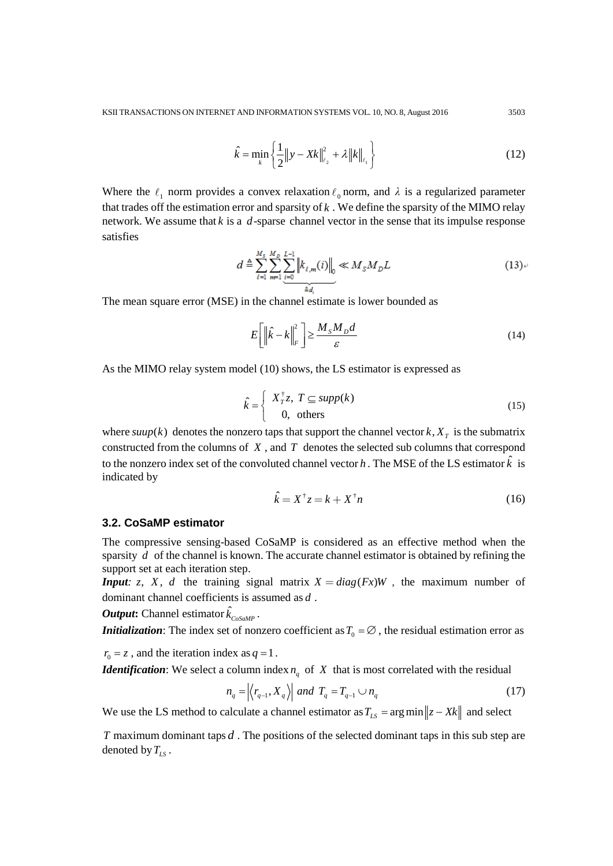$$
\hat{k} = \min_{k} \left\{ \frac{1}{2} \|y - Xk\|_{\ell_2}^2 + \lambda \|k\|_{\ell_1} \right\}
$$
\n(12)

Where the  $\ell_1$  norm provides a convex relaxation  $\ell_0$  norm, and  $\lambda$  is a regularized parameter that trades off the estimation error and sparsity of *k* . We define the sparsity of the MIMO relay network. We assume that  $k$  is a  $d$ -sparse channel vector in the sense that its impulse response satisfies

$$
d \triangleq \sum_{\ell=1}^{M_s} \sum_{m=1}^{M_p} \sum_{\substack{i=0 \ i \neq d}}^{L-1} \left\| k_{\ell,m}(i) \right\|_0 \ll M_s M_p L \tag{13}
$$

The mean square error (MSE) in the channel estimate is lower bounded as

$$
E\left[\left\|\hat{k} - k\right\|_{F}^{2}\right] \ge \frac{M_{s}M_{D}d}{\varepsilon}
$$
\n(14)

As the MIMO relay system model (10) shows, the LS estimator is expressed as

$$
\hat{k} = \begin{cases}\nX_T^{\dagger} z, T \subseteq \text{supp}(k) \\
0, \text{ others}\n\end{cases} (15)
$$

where  $\text{supp}(k)$  denotes the nonzero taps that support the channel vector  $k, X<sub>T</sub>$  is the submatrix constructed from the columns of *X* , and *T* denotes the selected sub columns that correspond to the nonzero index set of the convoluted channel vector *h*. The MSE of the LS estimator  $\hat{k}$  is indicated by

$$
\hat{k} = X^{\dagger} z = k + X^{\dagger} n \tag{16}
$$

# **3.2. CoSaMP estimator**

The compressive sensing-based CoSaMP is considered as an effective method when the sparsity *d* of the channel is known. The accurate channel estimator is obtained by refining the support set at each iteration step.

*Input*: z, *X*, *d* the training signal matrix  $X = diag(F_X)W$ , the maximum number of dominant channel coefficients is assumed as *d* .

 $\bm{Output:}$  Channel estimator  $\hat{k}_{\textit{CoSaMP}}$  .

*Initialization*: The index set of nonzero coefficient as  $T_0 = \emptyset$ , the residual estimation error as

 $r_0 = z$ , and the iteration index as  $q = 1$ .

*Identification*: We select a column index  $n_a$  of X that is most correlated with the residual

$$
n_q = \left| \left\langle r_{q-1}, X_q \right\rangle \right| \text{ and } T_q = T_{q-1} \cup n_q \tag{17}
$$

We use the LS method to calculate a channel estimator as  $T_{LS} = \arg \min ||z - Xk||$  and select

*T* maximum dominant taps *d* . The positions of the selected dominant taps in this sub step are denoted by  $T_{LS}$ .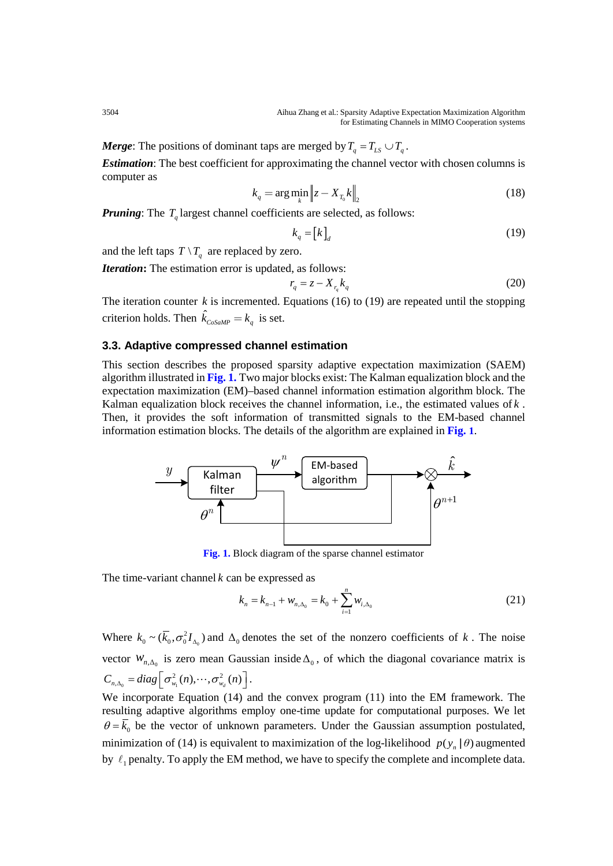3504 Aihua Zhang et al.: Sparsity Adaptive Expectation Maximization Algorithm for Estimating Channels in MIMO Cooperation systems

*Merge*: The positions of dominant taps are merged by  $T_q = T_{LS} \cup T_q$ .

*Estimation*: The best coefficient for approximating the channel vector with chosen columns is computer as

$$
k_q = \arg\min_k \left\| z - X_{T_0} k \right\|_2 \tag{18}
$$

*Pruning*: The  $T_q$  largest channel coefficients are selected, as follows:

$$
k_q = [k]_d \tag{19}
$$

and the left taps  $T \setminus T_q$  are replaced by zero.

*Iteration***:** The estimation error is updated, as follows:

$$
r_q = z - X_{r_q} k_q \tag{20}
$$

The iteration counter  $k$  is incremented. Equations (16) to (19) are repeated until the stopping criterion holds. Then  $\hat{k}_{cosamp} = k_q$  is set.

# **3.3. Adaptive compressed channel estimation**

This section describes the proposed sparsity adaptive expectation maximization (SAEM) algorithm illustrated in **Fig. 1.** Two major blocks exist: The Kalman equalization block and the expectation maximization (EM)–based channel information estimation algorithm block. The Kalman equalization block receives the channel information, i.e., the estimated values of *k* . Then, it provides the soft information of transmitted signals to the EM-based channel information estimation blocks. The details of the algorithm are explained in **Fig. 1**.



**Fig. 1.** Block diagram of the sparse channel estimator

The time-variant channel *k* can be expressed as

$$
k_n = k_{n-1} + w_{n,\Delta_0} = k_0 + \sum_{i=1}^n w_{i,\Delta_0}
$$
 (21)

Where  $k_0 \sim (\overline{k}_0, \sigma_0^2 I_{\Delta_0})$  and  $\Delta_0$  denotes the set of the nonzero coefficients of *k*. The noise vector  $W_{n,\Delta_0}$  is zero mean Gaussian inside  $\Delta_0$ , of which the diagonal covariance matrix is 0  $\cup$   $\sqcup$   $w_1$  $C_{n,\Delta_0} = diag\left[\sigma_{w_1}^2(n), \cdots, \sigma_{w_d}^2(n)\right].$ 

We incorporate Equation (14) and the convex program (11) into the EM framework. The resulting adaptive algorithms employ one-time update for computational purposes. We let  $\theta = \overline{k}_0$  be the vector of unknown parameters. Under the Gaussian assumption postulated, minimization of (14) is equivalent to maximization of the log-likelihood  $p(y_n | \theta)$  augmented by  $\ell_1$  penalty. To apply the EM method, we have to specify the complete and incomplete data.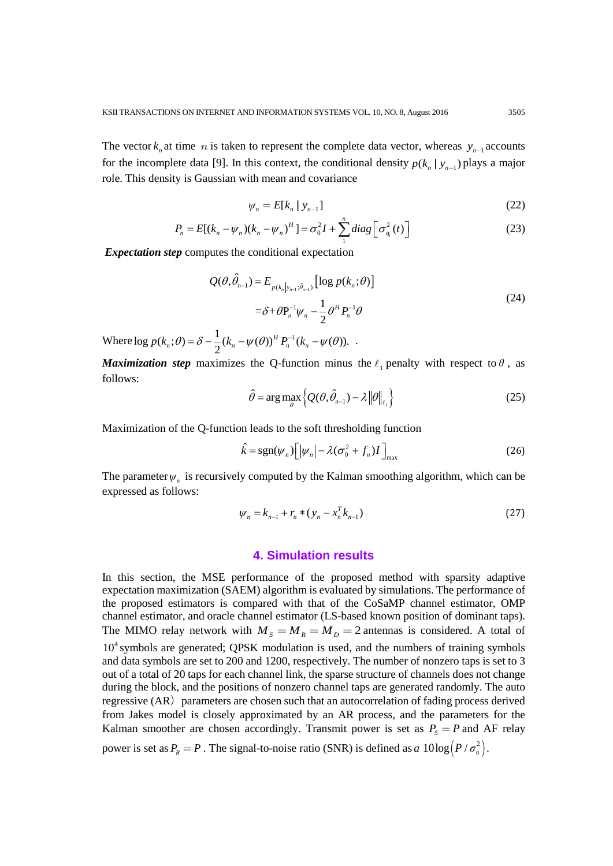The vector  $k_n$  at time *n* is taken to represent the complete data vector, whereas  $y_{n-1}$  accounts for the incomplete data [9]. In this context, the conditional density  $p(k_n | y_{n-1})$  plays a major role. This density is Gaussian with mean and covariance

$$
\psi_n = E[k_n \mid y_{n-1}] \tag{22}
$$

$$
P_n = E[(k_n - \psi_n)(k_n - \psi_n)^H] = \sigma_0^2 I + \sum_{1}^{n} diag\left[\sigma_{q_i}^2(t)\right]
$$
 (23)

*Expectation step* computes the conditional expectation

$$
Q(\theta, \hat{\theta}_{n-1}) = E_{p(k_n|y_{n-1};\hat{\theta}_{n-1})} [\log p(k_n; \theta)]
$$
  
=  $\delta + \theta P_n^{-1} \psi_n - \frac{1}{2} \theta^H P_n^{-1} \theta$  (24)

Where  $\log p(k_n; \theta) = \delta - \frac{1}{2} (k_n - \psi(\theta))^H P_n^{-1}(k_n - \psi(\theta)).$ 

*Maximization step* maximizes the Q-function minus the  $\ell_1$  penalty with respect to  $\theta$ , as follows:

$$
\hat{\theta} = \arg \max_{\theta} \left\{ Q(\theta, \hat{\theta}_{n-1}) - \lambda \left\| \theta \right\|_{\ell_1} \right\}
$$
 (25)

Maximization of the Q-function leads to the soft thresholding function

$$
\hat{k} = \text{sgn}(\psi_n) \Big[ |\psi_n| - \lambda (\sigma_0^2 + f_n) I \Big]_{\text{max}} \tag{26}
$$

The parameter  $\psi_n$  is recursively computed by the Kalman smoothing algorithm, which can be expressed as follows:

$$
\psi_n = k_{n-1} + r_n * (y_n - x_n^T k_{n-1})
$$
\n(27)

#### **4. Simulation results**

In this section, the MSE performance of the proposed method with sparsity adaptive expectation maximization (SAEM) algorithm is evaluated by simulations. The performance of the proposed estimators is compared with that of the CoSaMP channel estimator, OMP channel estimator, and oracle channel estimator (LS-based known position of dominant taps). The MIMO relay network with  $M_s = M_R = M_D = 2$  antennas is considered. A total of  $10<sup>4</sup>$  symbols are generated; QPSK modulation is used, and the numbers of training symbols and data symbols are set to 200 and 1200, respectively. The number of nonzero taps is set to 3 out of a total of 20 taps for each channel link, the sparse structure of channels does not change during the block, and the positions of nonzero channel taps are generated randomly. The auto regressive (AR) parameters are chosen such that an autocorrelation of fading process derived from Jakes model is closely approximated by an AR process, and the parameters for the Kalman smoother are chosen accordingly. Transmit power is set as  $P_s = P$  and AF relay power is set as  $P_R = P$ . The signal-to-noise ratio (SNR) is defined as *a*  $10\log(P/\sigma_n^2)$ .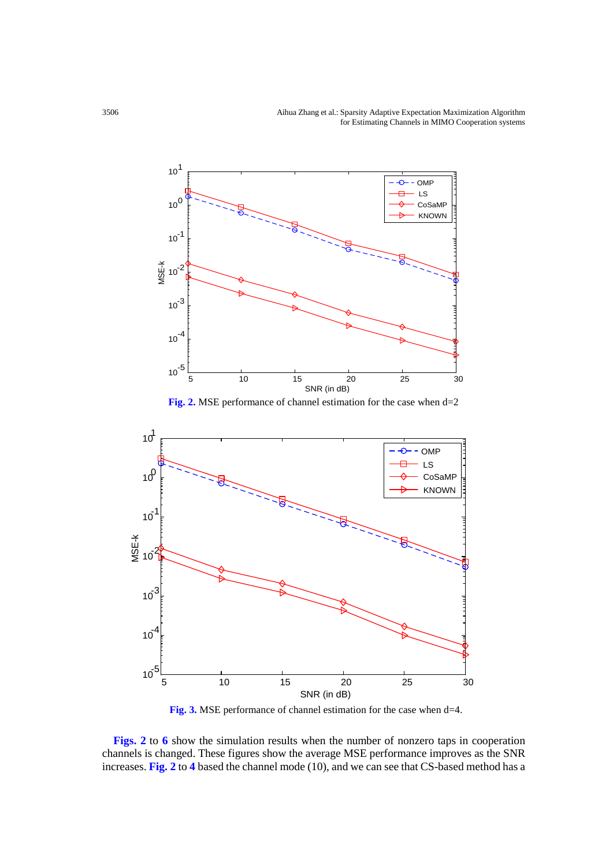3506 Aihua Zhang et al.: Sparsity Adaptive Expectation Maximization Algorithm for Estimating Channels in MIMO Cooperation systems



**Fig. 2.** MSE performance of channel estimation for the case when d=2



**Fig. 3.** MSE performance of channel estimation for the case when d=4.

**Figs. 2** to **6** show the simulation results when the number of nonzero taps in cooperation channels is changed. These figures show the average MSE performance improves as the SNR increases. **Fig. 2** to **4** based the channel mode (10), and we can see that CS-based method has a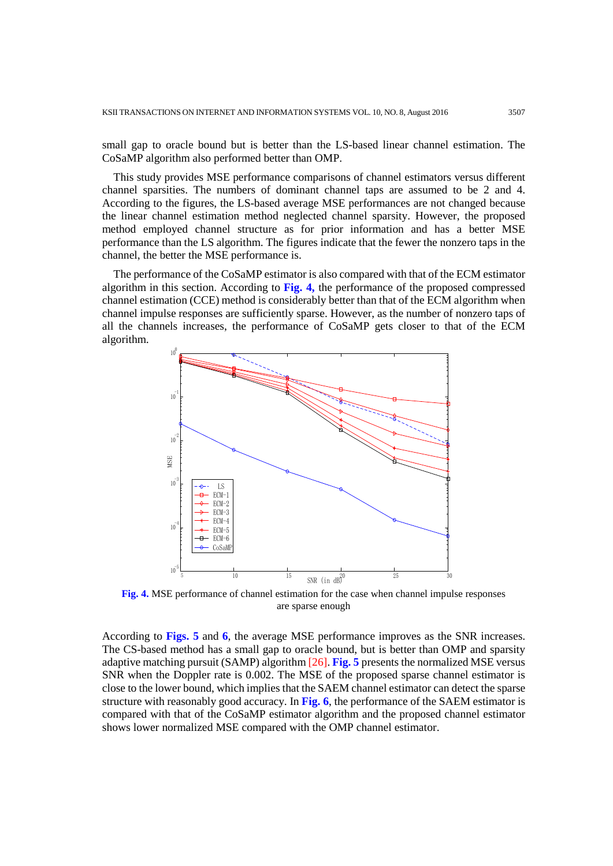small gap to oracle bound but is better than the LS-based linear channel estimation. The CoSaMP algorithm also performed better than OMP.

This study provides MSE performance comparisons of channel estimators versus different channel sparsities. The numbers of dominant channel taps are assumed to be 2 and 4. According to the figures, the LS-based average MSE performances are not changed because the linear channel estimation method neglected channel sparsity. However, the proposed method employed channel structure as for prior information and has a better MSE performance than the LS algorithm. The figures indicate that the fewer the nonzero taps in the channel, the better the MSE performance is.

The performance of the CoSaMP estimator is also compared with that of the ECM estimator algorithm in this section. According to **Fig. 4,** the performance of the proposed compressed channel estimation (CCE) method is considerably better than that of the ECM algorithm when channel impulse responses are sufficiently sparse. However, as the number of nonzero taps of all the channels increases, the performance of CoSaMP gets closer to that of the ECM algorithm.



**Fig. 4.** MSE performance of channel estimation for the case when channel impulse responses are sparse enough

According to **Figs. 5** and **6**, the average MSE performance improves as the SNR increases. The CS-based method has a small gap to oracle bound, but is better than OMP and sparsity adaptive matching pursuit (SAMP) algorithm [26]. **Fig. 5** presents the normalized MSE versus SNR when the Doppler rate is 0.002. The MSE of the proposed sparse channel estimator is close to the lower bound, which implies that the SAEM channel estimator can detect the sparse structure with reasonably good accuracy. In **Fig. 6**, the performance of the SAEM estimator is compared with that of the CoSaMP estimator algorithm and the proposed channel estimator shows lower normalized MSE compared with the OMP channel estimator.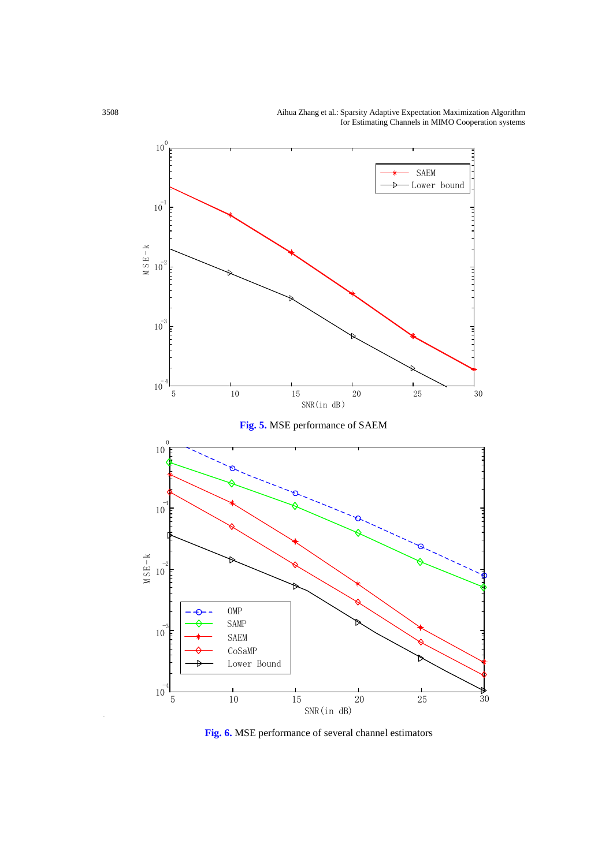3508 Aihua Zhang et al.: Sparsity Adaptive Expectation Maximization Algorithm for Estimating Channels in MIMO Cooperation systems



**Fig. 6.** MSE performance of several channel estimators

-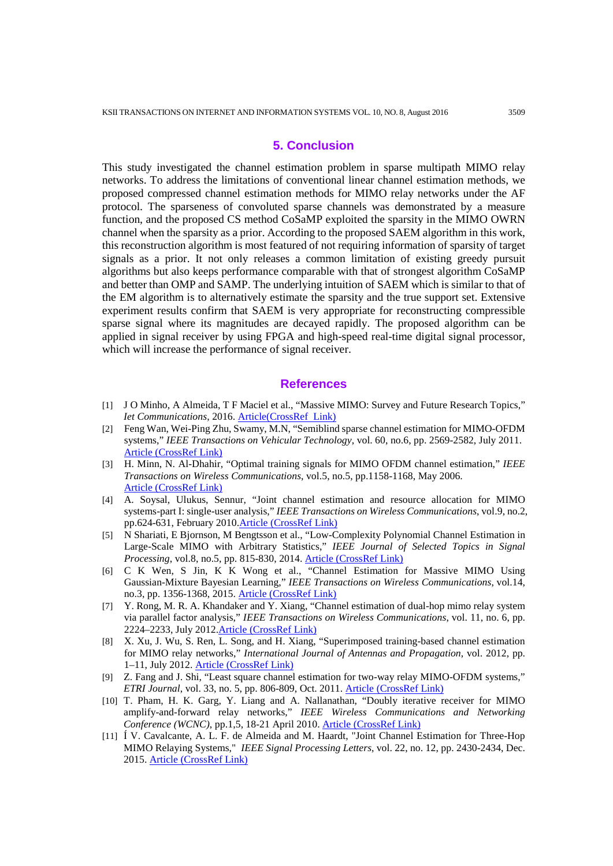## **5. Conclusion**

This study investigated the channel estimation problem in sparse multipath MIMO relay networks. To address the limitations of conventional linear channel estimation methods, we proposed compressed channel estimation methods for MIMO relay networks under the AF protocol. The sparseness of convoluted sparse channels was demonstrated by a measure function, and the proposed CS method CoSaMP exploited the sparsity in the MIMO OWRN channel when the sparsity as a prior. According to the proposed SAEM algorithm in this work, this reconstruction algorithm is most featured of not requiring information of sparsity of target signals as a prior. It not only releases a common limitation of existing greedy pursuit algorithms but also keeps performance comparable with that of strongest algorithm CoSaMP and better than OMP and SAMP. The underlying intuition of SAEM which is similar to that of the EM algorithm is to alternatively estimate the sparsity and the true support set. Extensive experiment results confirm that SAEM is very appropriate for reconstructing compressible sparse signal where its magnitudes are decayed rapidly. The proposed algorithm can be applied in signal receiver by using FPGA and high-speed real-time digital signal processor, which will increase the performance of signal receiver.

#### **References**

- [1] J O Minho, A Almeida, T F Maciel et al., "Massive MIMO: Survey and Future Research Topics," *Iet Communications*, 2016. [Article\(CrossRef Link\)](http://dx.doi.org/doi:10.1049/iet-com.2015.10916)
- [2] Feng Wan, Wei-Ping Zhu, Swamy, M.N, "Semiblind sparse channel estimation for MIMO-OFDM systems," *IEEE Transactions on Vehicular Technology*, vol. 60, no.6, pp. 2569-2582, July 2011. [Article \(CrossRef Link\)](http://dx.doi.org/10.1109/TVT.2011.2153218)
- [3] H. Minn, N. Al-Dhahir, "Optimal training signals for MIMO OFDM channel estimation," *IEEE Transactions on Wireless Communications*, vol.5, no.5, pp.1158-1168, May 2006. [Article \(CrossRef Link\)](http://dx.doi.org/10.1109/TWC.2006.1633369)
- [4] A. Soysal, Ulukus, Sennur, "Joint channel estimation and resource allocation for MIMO systems-part I: single-user analysis," *IEEE Transactions on Wireless Communications*, vol.9, no.2, pp.624-631, February 2010. Article (CrossRef Link)
- [5] N Shariati, E Bjornson, M Bengtsson et al., "Low-Complexity Polynomial Channel Estimation in Large-Scale MIMO with Arbitrary Statistics," *IEEE Journal of Selected Topics in Signal Processing*, vol.8, no.5, pp. 815-830, 2014. [Article \(CrossRef Link\)](http://dx.doi.org/10.1109/JSTSP.2014.2316063)
- [6] C K Wen, S Jin, K K Wong et al., "Channel Estimation for Massive MIMO Using Gaussian-Mixture Bayesian Learning," *IEEE Transactions on Wireless Communications*, vol.14, no.3, pp. 1356-1368, 2015. [Article \(CrossRef Link\)](http://dx.doi.org/10.1109/TWC.2014.2365813)
- [7] Y. Rong, M. R. A. Khandaker and Y. Xiang, "Channel estimation of dual-hop mimo relay system via parallel factor analysis," *IEEE Transactions on Wireless Communications*, vol. 11, no. 6, pp. 2224–2233, July 2012[.Article \(CrossRef Link\)](http://dx.doi.org/10.1109/TWC.2012.032712.111251)
- [8] X. Xu, J. Wu, S. Ren, L. Song, and H. Xiang, "Superimposed training-based channel estimation for MIMO relay networks," *International Journal of Antennas and Propagation*, vol. 2012, pp. 1–11, July 2012[. Article \(CrossRef Link\)](http://dx.doi.org/10.1049/iet-com.2012.0418)
- [9] Z. Fang and J. Shi, "Least square channel estimation for two-way relay MIMO-OFDM systems," *ETRI Journal*, vol. 33, no. 5, pp. 806-809, Oct. 2011. [Article \(CrossRef Link\)](http://dx.doi.org/10.4218/etrij.11.0210.0424)
- [10] T. Pham, H. K. Garg, Y. Liang and A. Nallanathan, "Doubly iterative receiver for MIMO amplify-and-forward relay networks," *IEEE Wireless Communications and Networking Conference (WCNC)*, pp.1,5, 18-21 April 2010. [Article \(CrossRef Link\)](http://dx.doi.org/10.1109/WCNC.2010.5506308)
- [11] Í V. Cavalcante, A. L. F. de Almeida and M. Haardt, "Joint Channel Estimation for Three-Hop MIMO Relaying Systems," *IEEE Signal Processing Letters*, vol. 22, no. 12, pp. 2430-2434, Dec. 2015. [Article \(CrossRef Link\)](http://dx.doi.org/10.1109/LSP.2015.2490251)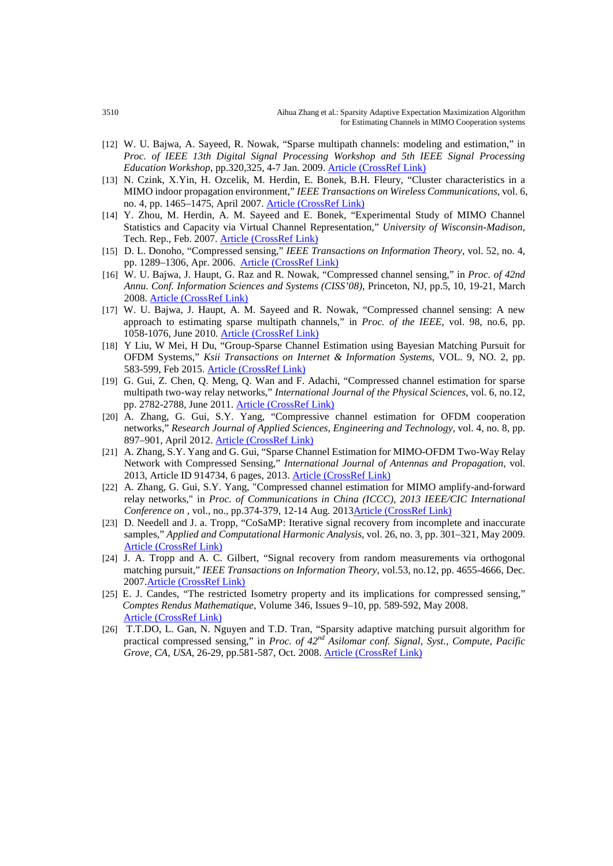- [12] W. U. Bajwa, A. Sayeed, R. Nowak, "Sparse multipath channels: modeling and estimation," in *Proc. of IEEE 13th Digital Signal Processing Workshop and 5th IEEE Signal Processing Education Workshop*, pp.320,325, 4-7 Jan. 2009. [Article \(CrossRef Link\)](http://dx.doi.org/10.1109/DSP.2009.4785942)
- [13] N. Czink, X.Yin, H. Ozcelik, M. Herdin, E. Bonek, B.H. Fleury, "Cluster characteristics in a MIMO indoor propagation environment," *IEEE Transactions on Wireless Communications*, vol. 6, no. 4, pp. 1465–1475, April 2007. [Article \(CrossRef Link\)](http://dx.doi.org/10.1109/TWC.2007.348343)
- [14] Y. Zhou, M. Herdin, A. M. Sayeed and E. Bonek, "Experimental Study of MIMO Channel Statistics and Capacity via Virtual Channel Representation," *University of Wisconsin-Madison*, Tech. Rep., Feb. 2007. [Article \(CrossRef Link\)](http://www.ece.wisc.edu/%7Eakbar/rgroup/pdfs/zhou_meas.pdf)
- [15] D. L. Donoho, "Compressed sensing," *IEEE Transactions on Information Theory*, vol. 52, no. 4, pp. 1289–1306, Apr. 2006. [Article \(CrossRef Link\)](https://vpn.zzu.edu.cn/10.1109/,DanaInfo=dx.doi.org+TIT.2006.871582)
- [16] W. U. Bajwa, J. Haupt, G. Raz and R. Nowak, "Compressed channel sensing," in *Proc. of 42nd Annu. Conf. Information Sciences and Systems (CISS'08)*, Princeton, NJ, pp.5, 10, 19-21, March 2008. [Article \(CrossRef Link\)](http://dx.doi.org/10.1109/CISS.2008.4558485)
- [17] W. U. Bajwa, J. Haupt, A. M. Sayeed and R. Nowak, "Compressed channel sensing: A new approach to estimating sparse multipath channels," in *Proc. of the IEEE*, vol. 98, no.6, pp. 1058-1076, June 2010[. Article \(CrossRef Link\)](http://dx.doi.org/10.1109/JPROC.2010.2042415)
- [18] Y Liu, W Mei, H Du, "Group-Sparse Channel Estimation using Bayesian Matching Pursuit for OFDM Systems," *Ksii Transactions on Internet & Information Systems*, VOL. 9, NO. 2, pp. 583-599, Feb 2015. Article (CrossRef Link)
- [19] G. Gui, Z. Chen, Q. Meng, Q. Wan and F. Adachi, "Compressed channel estimation for sparse multipath two-way relay networks," *International Journal of the Physical Sciences*, vol. 6, no.12, pp. 2782-2788, June 2011. [Article \(CrossRef Link\)](http://www.academicjournals.org/article/article1380720507_Gui%20et%20al.pdf)
- [20] A. Zhang, G. Gui, S.Y. Yang, "Compressive channel estimation for OFDM cooperation networks," *Research Journal of Applied Sciences, Engineering and Technology*, vol. 4, no. 8, pp. 897–901, April 2012. [Article \(CrossRef Link\)](http://www.maxwellsci.com/print/rjaset/v4-897-901.pdf)
- [21] A. Zhang, S.Y. Yang and G. Gui, "Sparse Channel Estimation for MIMO-OFDM Two-Way Relay Network with Compressed Sensing," *International Journal of Antennas and Propagation*, vol. 2013, Article ID 914734, 6 pages, 2013. [Article \(CrossRef Link\)](http://dx.doi.org/10.1109/VTCFall.2013.6692418)
- [22] A. Zhang, G. Gui, S.Y. Yang, "Compressed channel estimation for MIMO amplify-and-forward relay networks," in *Proc. of Communications in China (ICCC), 2013 IEEE/CIC International Conference on* , vol., no., pp.374-379, 12-14 Aug. 201[3Article \(CrossRef Link\)](http://dx.doi.org/10.1109/ICCChina.2013.6671145)
- [23] D. Needell and J. a. Tropp, "CoSaMP: Iterative signal recovery from incomplete and inaccurate samples," *Applied and Computational Harmonic Analysis*, vol. 26, no. 3, pp. 301–321, May 2009. Article (CrossRef Link)
- [24] J. A. Tropp and A. C. Gilbert, "Signal recovery from random measurements via orthogonal matching pursuit," *IEEE Transactions on Information Theory*, vol.53, no.12, pp. 4655-4666, Dec. 200[7.Article \(CrossRef Link\)](http://dx.doi.org/10.1109/TIT.2007.909108)
- [25] E. J. Candes, "The restricted Isometry property and its implications for compressed sensing," *Comptes Rendus Mathematique*, Volume 346, Issues 9–10, pp. 589-592, May 2008. Article (CrossRef Link)
- [26] T.T.DO, L. Gan, N. Nguyen and T.D. Tran, "Sparsity adaptive matching pursuit algorithm for practical compressed sensing," in *Proc. of 42nd Asilomar conf. Signal, Syst., Compute, Pacific Grove, CA, USA*, 26-29, pp.581-587, Oct. 2008. [Article \(CrossRef Link\)](http://dx.doi.org/10.1109/ACSSC.2008.5074472)